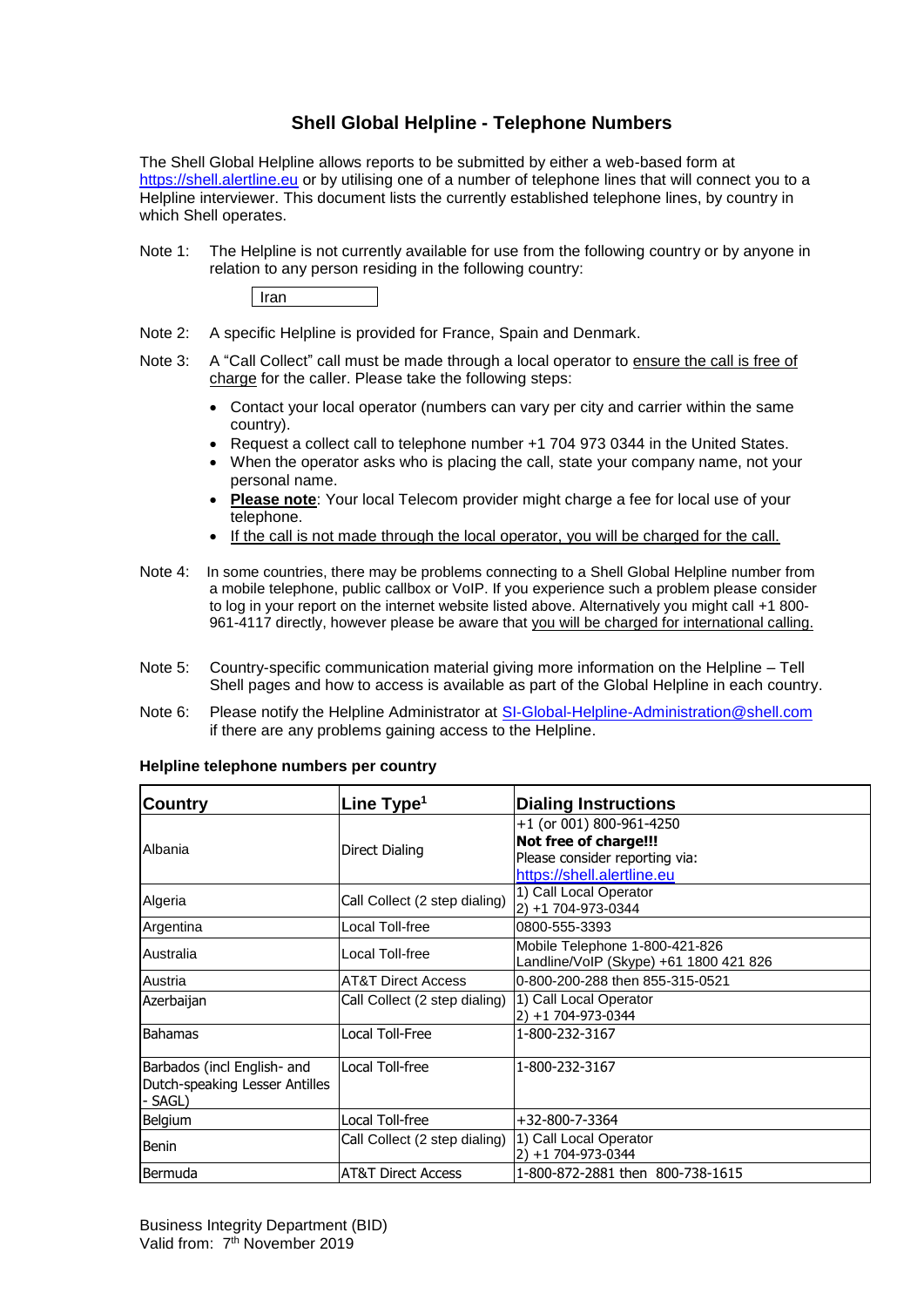## **Shell Global Helpline - Telephone Numbers**

The Shell Global Helpline allows reports to be submitted by either a web-based form at [https://shell.alertline.eu](https://shell.alertline.eu/) or by utilising one of a number of telephone lines that will connect you to a Helpline interviewer. This document lists the currently established telephone lines, by country in which Shell operates.

Note 1: The Helpline is not currently available for use from the following country or by anyone in relation to any person residing in the following country:



- Note 2: A specific Helpline is provided for France, Spain and Denmark.
- Note 3: A "Call Collect" call must be made through a local operator to ensure the call is free of charge for the caller. Please take the following steps:
	- Contact your local operator (numbers can vary per city and carrier within the same country).
	- Request a collect call to telephone number +1 704 973 0344 in the United States.
	- When the operator asks who is placing the call, state your company name, not your personal name.
	- **Please note**: Your local Telecom provider might charge a fee for local use of your telephone.
	- If the call is not made through the local operator, you will be charged for the call.
- Note 4: In some countries, there may be problems connecting to a Shell Global Helpline number from a mobile telephone, public callbox or VoIP. If you experience such a problem please consider to log in your report on the internet website listed above. Alternatively you might call +1 800- 961-4117 directly, however please be aware that you will be charged for international calling.
- Note 5: Country-specific communication material giving more information on the Helpline Tell Shell pages and how to access is available as part of the Global Helpline in each country.
- Note 6: Please notify the Helpline Administrator at SI-Global-Helpline-Administration@shell.com if there are any problems gaining access to the Helpline.

| Country                                                                  | Line $Type1$                  | <b>Dialing Instructions</b>                                                                                       |
|--------------------------------------------------------------------------|-------------------------------|-------------------------------------------------------------------------------------------------------------------|
| Albania                                                                  | Direct Dialing                | +1 (or 001) 800-961-4250<br>Not free of charge!!!<br>Please consider reporting via:<br>https://shell.alertline.eu |
| Algeria                                                                  | Call Collect (2 step dialing) | 1) Call Local Operator<br>2) +1 704-973-0344                                                                      |
| Argentina                                                                | Local Toll-free               | 0800-555-3393                                                                                                     |
| Australia                                                                | Local Toll-free               | Mobile Telephone 1-800-421-826<br>Landline/VoIP (Skype) +61 1800 421 826                                          |
| Austria                                                                  | <b>AT&amp;T Direct Access</b> | 0-800-200-288 then 855-315-0521                                                                                   |
| Azerbaijan                                                               | Call Collect (2 step dialing) | 1) Call Local Operator<br>$2) + 1704 - 973 - 0344$                                                                |
| <b>Bahamas</b>                                                           | Local Toll-Free               | 1-800-232-3167                                                                                                    |
| Barbados (incl English- and<br>Dutch-speaking Lesser Antilles<br>- SAGL) | Local Toll-free               | 1-800-232-3167                                                                                                    |
| <b>Belgium</b>                                                           | Local Toll-free               | $+32 - 800 - 7 - 3364$                                                                                            |
| Benin                                                                    | Call Collect (2 step dialing) | 1) Call Local Operator<br>2) +1 704-973-0344                                                                      |
| Bermuda                                                                  | <b>AT&amp;T Direct Access</b> | 1-800-872-2881 then 800-738-1615                                                                                  |

## **Helpline telephone numbers per country**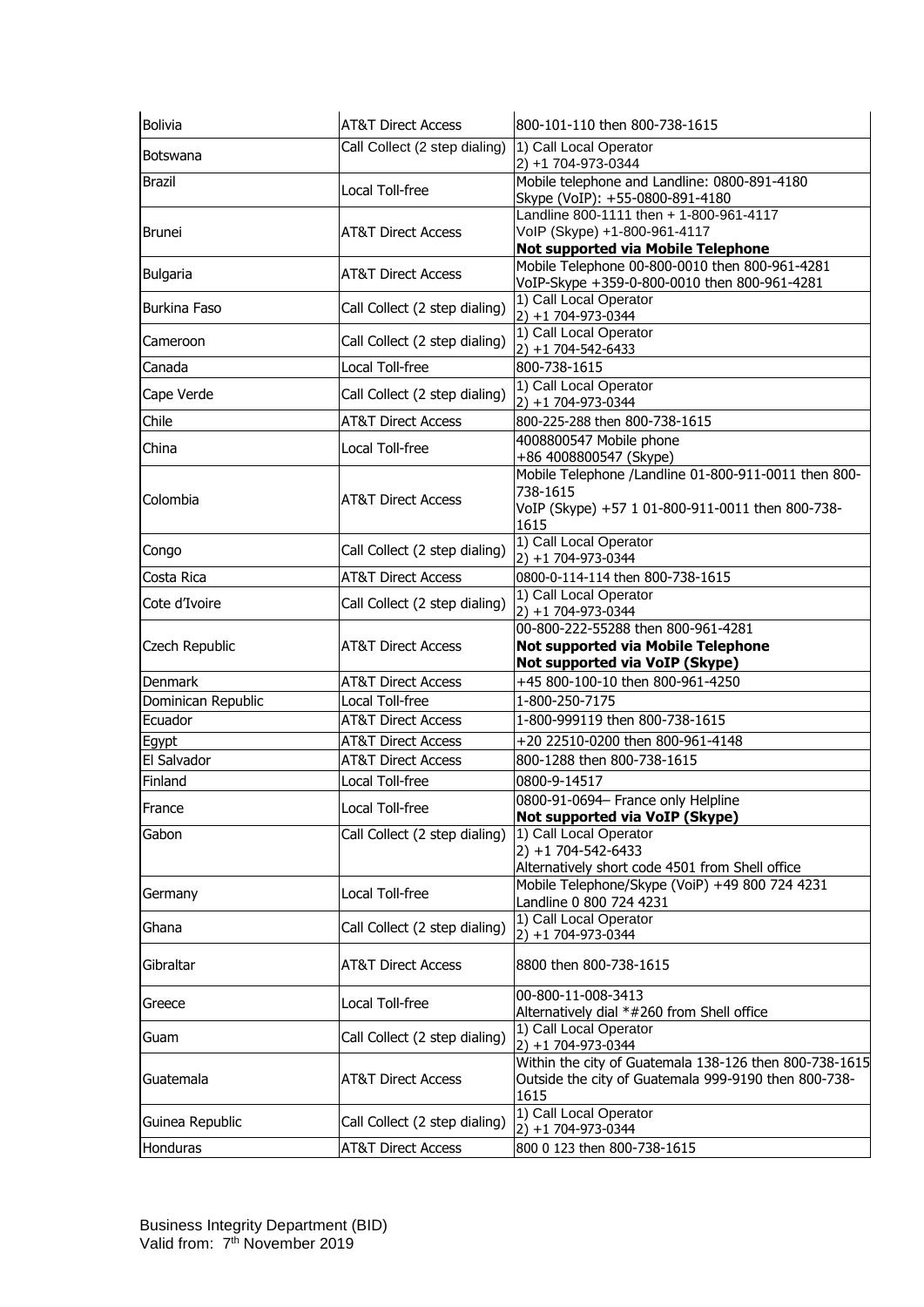| Bolivia             | <b>AT&amp;T Direct Access</b> | 800-101-110 then 800-738-1615                                                                                                |
|---------------------|-------------------------------|------------------------------------------------------------------------------------------------------------------------------|
| Botswana            | Call Collect (2 step dialing) | 1) Call Local Operator<br>2) +1 704-973-0344                                                                                 |
| <b>Brazil</b>       | Local Toll-free               | Mobile telephone and Landline: 0800-891-4180<br>Skype (VoIP): +55-0800-891-4180                                              |
| <b>Brunei</b>       | <b>AT&amp;T Direct Access</b> | Landline 800-1111 then + 1-800-961-4117<br>VoIP (Skype) +1-800-961-4117<br>Not supported via Mobile Telephone                |
| <b>Bulgaria</b>     | <b>AT&amp;T Direct Access</b> | Mobile Telephone 00-800-0010 then 800-961-4281<br>VoIP-Skype +359-0-800-0010 then 800-961-4281                               |
| <b>Burkina Faso</b> | Call Collect (2 step dialing) | 1) Call Local Operator<br>2) +1 704-973-0344                                                                                 |
| Cameroon            | Call Collect (2 step dialing) | 1) Call Local Operator<br>$2) + 1704 - 542 - 6433$                                                                           |
| Canada              | Local Toll-free               | 800-738-1615                                                                                                                 |
| Cape Verde          | Call Collect (2 step dialing) | 1) Call Local Operator<br>2) +1 704-973-0344                                                                                 |
| Chile               | <b>AT&amp;T Direct Access</b> | 800-225-288 then 800-738-1615                                                                                                |
| China               | Local Toll-free               | 4008800547 Mobile phone<br>+86 4008800547 (Skype)                                                                            |
| Colombia            | <b>AT&amp;T Direct Access</b> | Mobile Telephone /Landline 01-800-911-0011 then 800-<br>738-1615<br>VoIP (Skype) +57 1 01-800-911-0011 then 800-738-<br>1615 |
| Congo               | Call Collect (2 step dialing) | 1) Call Local Operator<br>2) +1 704-973-0344                                                                                 |
| Costa Rica          | <b>AT&amp;T Direct Access</b> | 0800-0-114-114 then 800-738-1615                                                                                             |
| Cote d'Ivoire       | Call Collect (2 step dialing) | 1) Call Local Operator<br>2) +1 704-973-0344                                                                                 |
|                     |                               | 00-800-222-55288 then 800-961-4281                                                                                           |
| Czech Republic      | <b>AT&amp;T Direct Access</b> | Not supported via Mobile Telephone                                                                                           |
| <b>Denmark</b>      | <b>AT&amp;T Direct Access</b> | Not supported via VoIP (Skype)<br>+45 800-100-10 then 800-961-4250                                                           |
| Dominican Republic  | Local Toll-free               | 1-800-250-7175                                                                                                               |
| Ecuador             | <b>AT&amp;T Direct Access</b> | 1-800-999119 then 800-738-1615                                                                                               |
| Egypt               | <b>AT&amp;T Direct Access</b> | +20 22510-0200 then 800-961-4148                                                                                             |
| El Salvador         | <b>AT&amp;T Direct Access</b> | 800-1288 then 800-738-1615                                                                                                   |
| Finland             | Local Toll-free               | 0800-9-14517                                                                                                                 |
|                     |                               | 0800-91-0694- France only Helpline                                                                                           |
| France              | Local Toll-free               | Not supported via VoIP (Skype)                                                                                               |
| Gabon               | Call Collect (2 step dialing) | 1) Call Local Operator<br>$2) + 1704 - 542 - 6433$                                                                           |
| Germany             | Local Toll-free               | Alternatively short code 4501 from Shell office<br>Mobile Telephone/Skype (VoiP) +49 800 724 4231<br>Landline 0 800 724 4231 |
| Ghana               | Call Collect (2 step dialing) | 1) Call Local Operator<br>2) +1 704-973-0344                                                                                 |
| Gibraltar           | <b>AT&amp;T Direct Access</b> | 8800 then 800-738-1615                                                                                                       |
| Greece              | Local Toll-free               | 00-800-11-008-3413<br>Alternatively dial *#260 from Shell office                                                             |
| Guam                | Call Collect (2 step dialing) | 1) Call Local Operator<br>2) +1 704-973-0344                                                                                 |
| Guatemala           | <b>AT&amp;T Direct Access</b> | Outside the city of Guatemala 999-9190 then 800-738-<br>1615                                                                 |
| Guinea Republic     | Call Collect (2 step dialing) | Within the city of Guatemala 138-126 then 800-738-1615<br>1) Call Local Operator<br>$2) + 1704 - 973 - 0344$                 |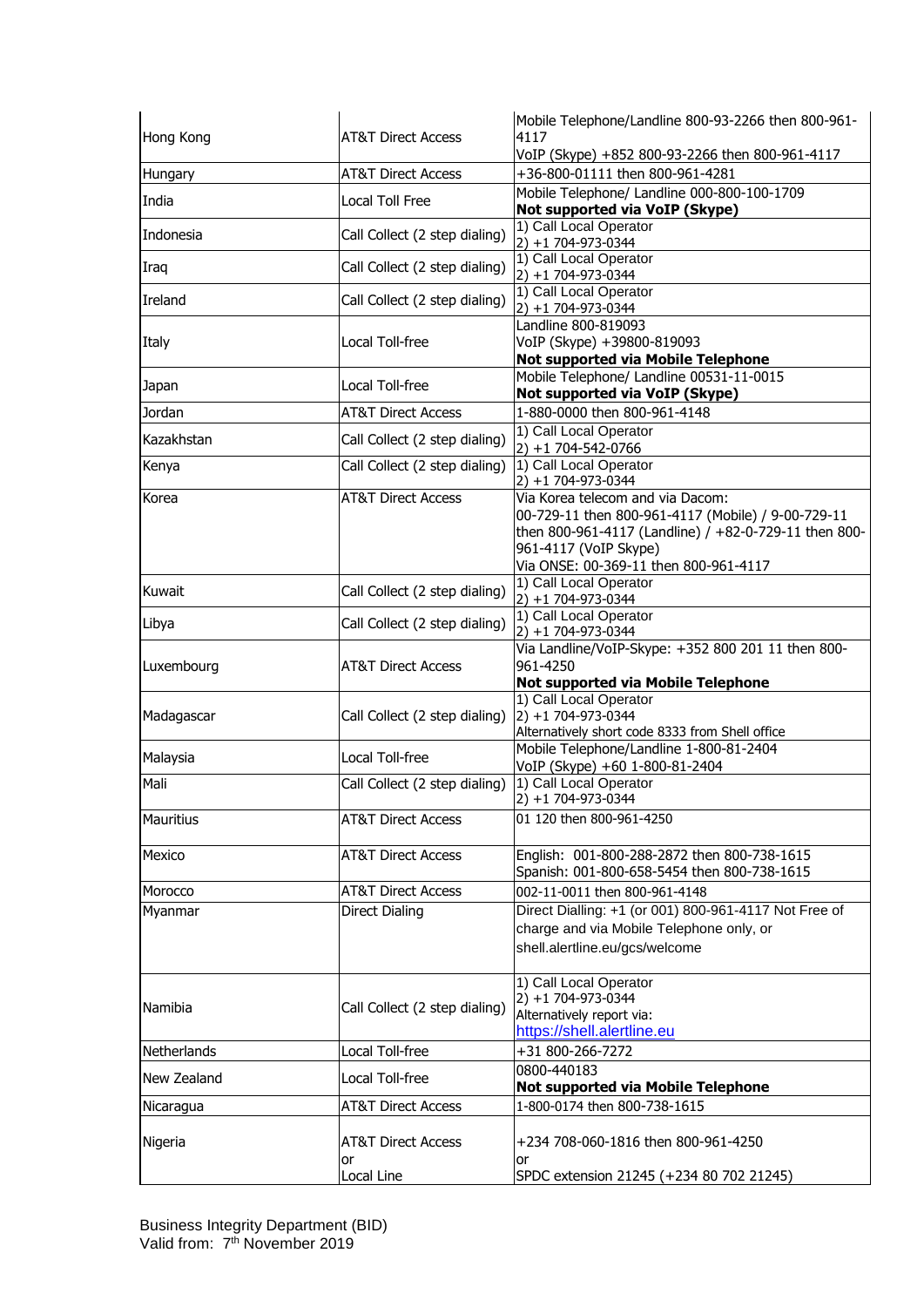| Hong Kong   | <b>AT&amp;T Direct Access</b>       | Mobile Telephone/Landline 800-93-2266 then 800-961-<br>4117                                                                                                                                                       |
|-------------|-------------------------------------|-------------------------------------------------------------------------------------------------------------------------------------------------------------------------------------------------------------------|
|             |                                     | VoIP (Skype) +852 800-93-2266 then 800-961-4117                                                                                                                                                                   |
| Hungary     | <b>AT&amp;T Direct Access</b>       | +36-800-01111 then 800-961-4281                                                                                                                                                                                   |
| India       | Local Toll Free                     | Mobile Telephone/ Landline 000-800-100-1709<br>Not supported via VoIP (Skype)                                                                                                                                     |
| Indonesia   | Call Collect (2 step dialing)       | 1) Call Local Operator<br>$2) + 1704 - 973 - 0344$                                                                                                                                                                |
| Iraq        | Call Collect (2 step dialing)       | 1) Call Local Operator<br>2) +1 704-973-0344                                                                                                                                                                      |
| Ireland     | Call Collect (2 step dialing)       | 1) Call Local Operator<br>2) +1 704-973-0344                                                                                                                                                                      |
| Italy       | Local Toll-free                     | Landline 800-819093<br>VoIP (Skype) +39800-819093<br>Not supported via Mobile Telephone                                                                                                                           |
| Japan       | Local Toll-free                     | Mobile Telephone/ Landline 00531-11-0015<br>Not supported via VoIP (Skype)                                                                                                                                        |
| Jordan      | <b>AT&amp;T Direct Access</b>       | 1-880-0000 then 800-961-4148                                                                                                                                                                                      |
| Kazakhstan  | Call Collect (2 step dialing)       | 1) Call Local Operator<br>$2) + 1704 - 542 - 0766$                                                                                                                                                                |
| Kenya       | Call Collect (2 step dialing)       | 1) Call Local Operator<br>2) +1 704-973-0344                                                                                                                                                                      |
| Korea       | <b>AT&amp;T Direct Access</b>       | Via Korea telecom and via Dacom:<br>00-729-11 then 800-961-4117 (Mobile) / 9-00-729-11<br>then 800-961-4117 (Landline) / +82-0-729-11 then 800-<br>961-4117 (VoIP Skype)<br>Via ONSE: 00-369-11 then 800-961-4117 |
| Kuwait      | Call Collect (2 step dialing)       | 1) Call Local Operator<br>$2) + 1704 - 973 - 0344$                                                                                                                                                                |
| Libya       | Call Collect (2 step dialing)       | 1) Call Local Operator<br>2) +1 704-973-0344                                                                                                                                                                      |
| Luxembourg  | <b>AT&amp;T Direct Access</b>       | Via Landline/VoIP-Skype: +352 800 201 11 then 800-<br>961-4250<br>Not supported via Mobile Telephone                                                                                                              |
| Madagascar  | Call Collect (2 step dialing)       | 1) Call Local Operator<br>2) +1 704-973-0344<br>Alternatively short code 8333 from Shell office                                                                                                                   |
| Malaysia    | Local Toll-free                     | Mobile Telephone/Landline 1-800-81-2404<br>VoIP (Skype) +60 1-800-81-2404                                                                                                                                         |
| Mali        | Call Collect (2 step dialing)       | 1) Call Local Operator<br>$2) + 1704 - 973 - 0344$                                                                                                                                                                |
| Mauritius   | <b>AT&amp;T Direct Access</b>       | 01 120 then 800-961-4250                                                                                                                                                                                          |
| Mexico      | <b>AT&amp;T Direct Access</b>       | English: 001-800-288-2872 then 800-738-1615<br>Spanish: 001-800-658-5454 then 800-738-1615                                                                                                                        |
| Morocco     | <b>AT&amp;T Direct Access</b>       | 002-11-0011 then 800-961-4148                                                                                                                                                                                     |
| Myanmar     | <b>Direct Dialing</b>               | Direct Dialling: +1 (or 001) 800-961-4117 Not Free of<br>charge and via Mobile Telephone only, or<br>shell.alertline.eu/gcs/welcome                                                                               |
| Namibia     | Call Collect (2 step dialing)       | 1) Call Local Operator<br>2) +1 704-973-0344<br>Alternatively report via:<br>https://shell.alertline.eu                                                                                                           |
| Netherlands | Local Toll-free                     | +31 800-266-7272                                                                                                                                                                                                  |
| New Zealand | Local Toll-free                     | 0800-440183<br><b>Not supported via Mobile Telephone</b>                                                                                                                                                          |
| Nicaragua   | AT&T Direct Access                  | 1-800-0174 then 800-738-1615                                                                                                                                                                                      |
| Nigeria     | <b>AT&amp;T Direct Access</b><br>or | +234 708-060-1816 then 800-961-4250<br>or                                                                                                                                                                         |
|             | Local Line                          | SPDC extension 21245 (+234 80 702 21245)                                                                                                                                                                          |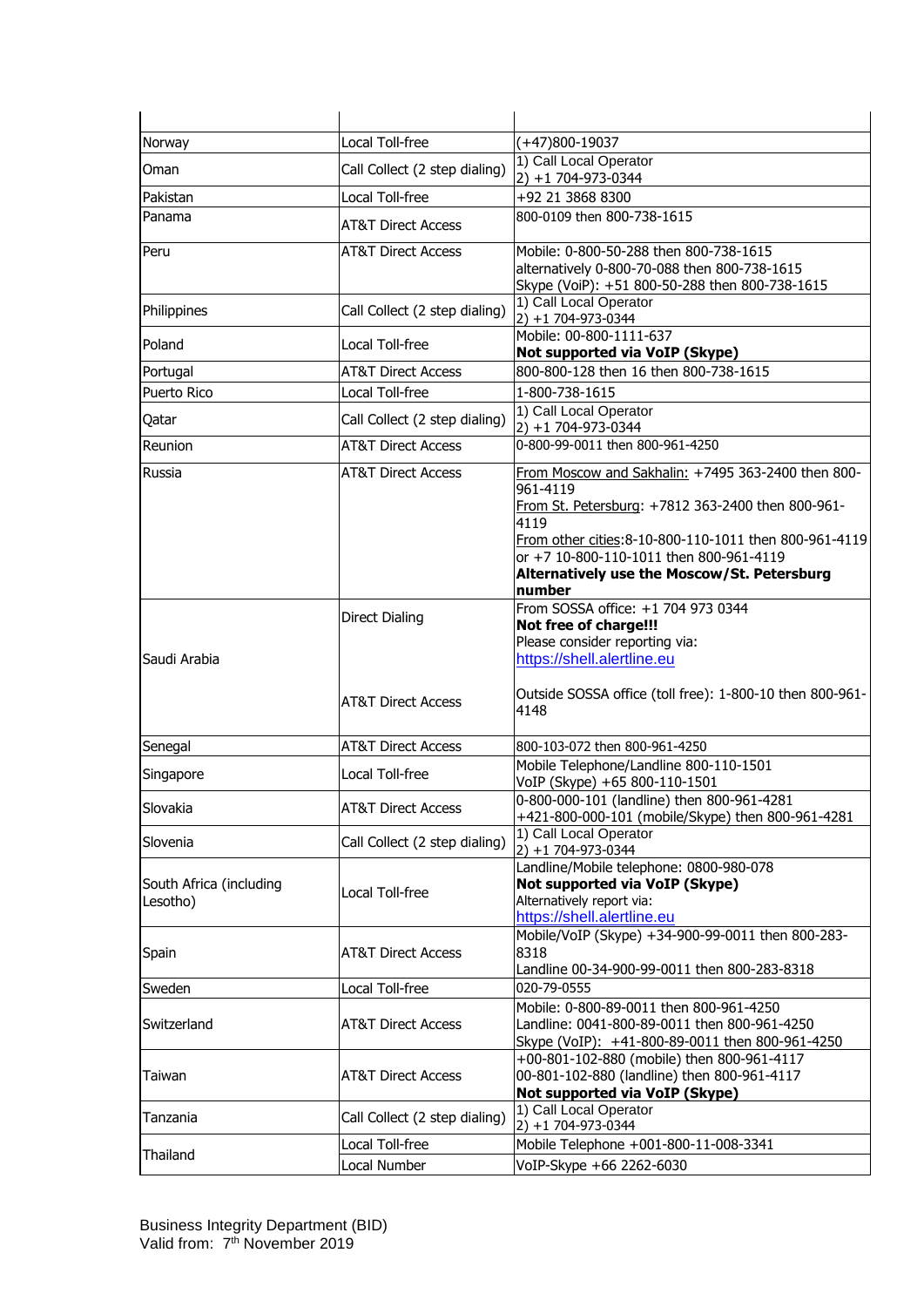| Norway                              | Local Toll-free                                        | (+47)800-19037                                                                                                                                                                                                                                                                  |
|-------------------------------------|--------------------------------------------------------|---------------------------------------------------------------------------------------------------------------------------------------------------------------------------------------------------------------------------------------------------------------------------------|
| Oman                                | Call Collect (2 step dialing)                          | 1) Call Local Operator<br>2) +1 704-973-0344                                                                                                                                                                                                                                    |
| Pakistan                            | Local Toll-free                                        | +92 21 3868 8300                                                                                                                                                                                                                                                                |
| Panama                              | <b>AT&amp;T Direct Access</b>                          | 800-0109 then 800-738-1615                                                                                                                                                                                                                                                      |
| Peru                                | <b>AT&amp;T Direct Access</b>                          | Mobile: 0-800-50-288 then 800-738-1615<br>alternatively 0-800-70-088 then 800-738-1615<br>Skype (VoiP): +51 800-50-288 then 800-738-1615                                                                                                                                        |
| Philippines                         | Call Collect (2 step dialing)                          | 1) Call Local Operator<br>2) +1 704-973-0344                                                                                                                                                                                                                                    |
| Poland                              | Local Toll-free                                        | Mobile: 00-800-1111-637<br>Not supported via VoIP (Skype)                                                                                                                                                                                                                       |
| Portugal                            | <b>AT&amp;T Direct Access</b>                          | 800-800-128 then 16 then 800-738-1615                                                                                                                                                                                                                                           |
| <b>Puerto Rico</b>                  | Local Toll-free                                        | 1-800-738-1615                                                                                                                                                                                                                                                                  |
| Qatar                               | Call Collect (2 step dialing)                          | 1) Call Local Operator<br>2) +1 704-973-0344                                                                                                                                                                                                                                    |
| Reunion                             | <b>AT&amp;T Direct Access</b>                          | 0-800-99-0011 then 800-961-4250                                                                                                                                                                                                                                                 |
| Russia                              | <b>AT&amp;T Direct Access</b>                          | From Moscow and Sakhalin: +7495 363-2400 then 800-<br>961-4119<br>From St. Petersburg: +7812 363-2400 then 800-961-<br>4119<br>From other cities: 8-10-800-110-1011 then 800-961-4119<br>or +7 10-800-110-1011 then 800-961-4119<br>Alternatively use the Moscow/St. Petersburg |
|                                     |                                                        | number<br>From SOSSA office: +1 704 973 0344                                                                                                                                                                                                                                    |
| Saudi Arabia                        | <b>Direct Dialing</b><br><b>AT&amp;T Direct Access</b> | Not free of charge!!!<br>Please consider reporting via:<br>https://shell.alertline.eu<br>Outside SOSSA office (toll free): 1-800-10 then 800-961-<br>4148                                                                                                                       |
| Senegal                             | <b>AT&amp;T Direct Access</b>                          | 800-103-072 then 800-961-4250                                                                                                                                                                                                                                                   |
| Singapore                           | Local Toll-free                                        | Mobile Telephone/Landline 800-110-1501<br>VoIP (Skype) +65 800-110-1501                                                                                                                                                                                                         |
| Slovakia                            | <b>AT&amp;T Direct Access</b>                          | 0-800-000-101 (landline) then 800-961-4281<br>+421-800-000-101 (mobile/Skype) then 800-961-4281                                                                                                                                                                                 |
| Slovenia                            | Call Collect (2 step dialing)                          | 1) Call Local Operator<br>$2) + 1704 - 973 - 0344$                                                                                                                                                                                                                              |
| South Africa (including<br>Lesotho) | Local Toll-free                                        | Landline/Mobile telephone: 0800-980-078<br>Not supported via VoIP (Skype)<br>Alternatively report via:<br>https://shell.alertline.eu                                                                                                                                            |
| Spain                               | <b>AT&amp;T Direct Access</b>                          | Mobile/VoIP (Skype) +34-900-99-0011 then 800-283-<br>8318<br>Landline 00-34-900-99-0011 then 800-283-8318                                                                                                                                                                       |
| Sweden                              | Local Toll-free                                        | 020-79-0555                                                                                                                                                                                                                                                                     |
| Switzerland                         | <b>AT&amp;T Direct Access</b>                          | Mobile: 0-800-89-0011 then 800-961-4250<br>Landline: 0041-800-89-0011 then 800-961-4250<br>Skype (VoIP): +41-800-89-0011 then 800-961-4250                                                                                                                                      |
| Taiwan                              | <b>AT&amp;T Direct Access</b>                          | +00-801-102-880 (mobile) then 800-961-4117<br>00-801-102-880 (landline) then 800-961-4117<br>Not supported via VoIP (Skype)                                                                                                                                                     |
| Tanzania                            | Call Collect (2 step dialing)                          | 1) Call Local Operator<br>2) +1 704-973-0344                                                                                                                                                                                                                                    |
| Thailand                            | Local Toll-free                                        | Mobile Telephone +001-800-11-008-3341                                                                                                                                                                                                                                           |
|                                     | Local Number                                           | VoIP-Skype +66 2262-6030                                                                                                                                                                                                                                                        |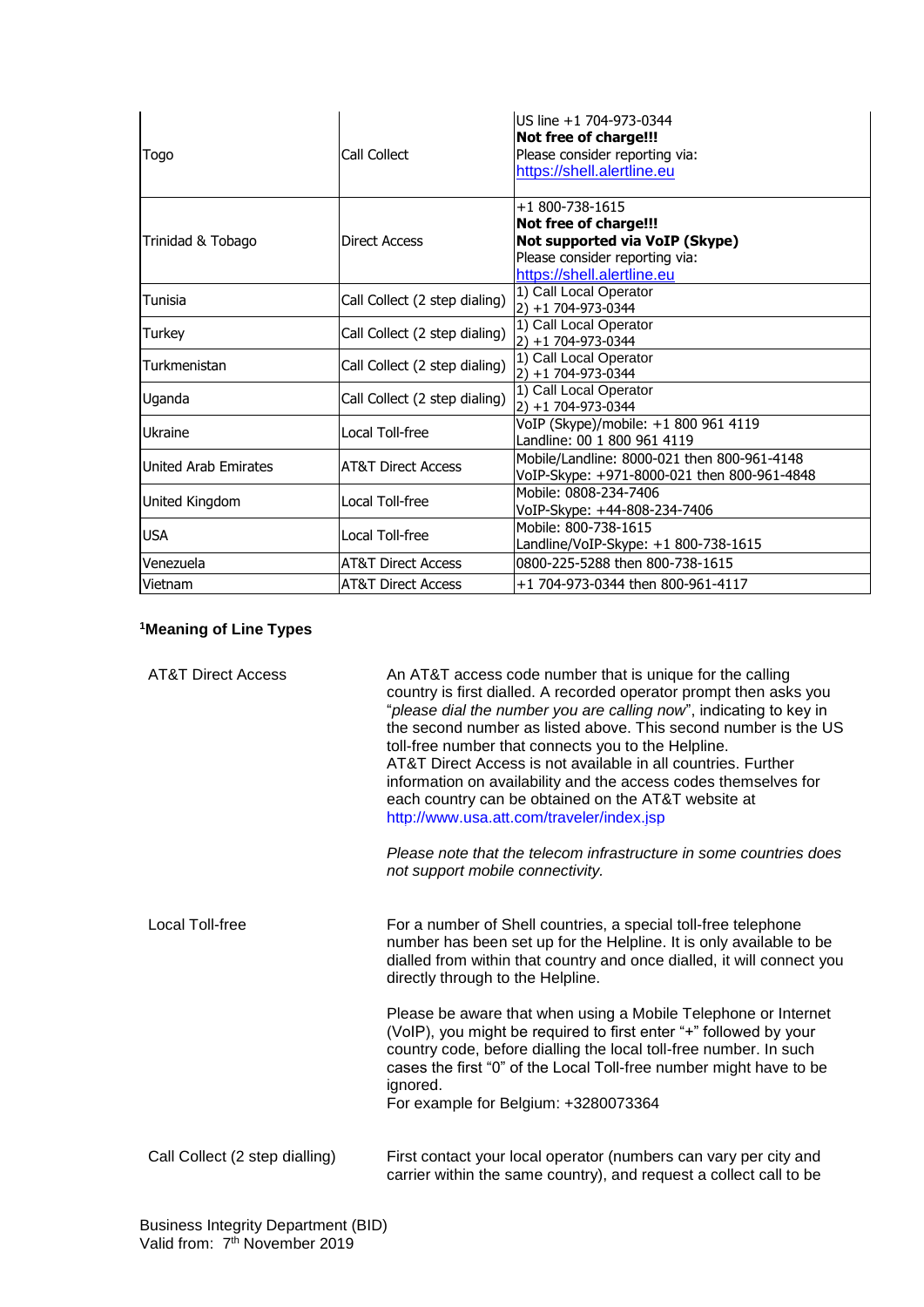| Togo                 | Call Collect                  | US line +1 704-973-0344<br>Not free of charge!!!<br>Please consider reporting via:<br>https://shell.alertline.eu                           |
|----------------------|-------------------------------|--------------------------------------------------------------------------------------------------------------------------------------------|
| Trinidad & Tobago    | <b>Direct Access</b>          | +1 800-738-1615<br>Not free of charge!!!<br>Not supported via VoIP (Skype)<br>Please consider reporting via:<br>https://shell.alertline.eu |
| Tunisia              | Call Collect (2 step dialing) | 1) Call Local Operator<br>$2) + 1704 - 973 - 0344$                                                                                         |
| Turkey               | Call Collect (2 step dialing) | 1) Call Local Operator<br>$2) + 1704 - 973 - 0344$                                                                                         |
| Turkmenistan         | Call Collect (2 step dialing) | 1) Call Local Operator<br>2) +1 704-973-0344                                                                                               |
| Uganda               | Call Collect (2 step dialing) | 1) Call Local Operator<br>$2) + 1$ 704-973-0344                                                                                            |
| <b>Ukraine</b>       | Local Toll-free               | VoIP (Skype)/mobile: +1 800 961 4119<br>Landline: 00 1 800 961 4119                                                                        |
| United Arab Emirates | <b>AT&amp;T Direct Access</b> | Mobile/Landline: 8000-021 then 800-961-4148<br>VoIP-Skype: +971-8000-021 then 800-961-4848                                                 |
| United Kingdom       | Local Toll-free               | Mobile: 0808-234-7406<br>VoIP-Skype: +44-808-234-7406                                                                                      |
| <b>USA</b>           | Local Toll-free               | Mobile: 800-738-1615<br>Landline/VoIP-Skype: +1 800-738-1615                                                                               |
| Venezuela            | <b>AT&amp;T Direct Access</b> | 0800-225-5288 then 800-738-1615                                                                                                            |
| Vietnam              | <b>AT&amp;T Direct Access</b> | +1 704-973-0344 then 800-961-4117                                                                                                          |

## **<sup>1</sup>Meaning of Line Types**

| <b>AT&amp;T Direct Access</b>  | An AT&T access code number that is unique for the calling<br>country is first dialled. A recorded operator prompt then asks you<br>"please dial the number you are calling now", indicating to key in<br>the second number as listed above. This second number is the US<br>toll-free number that connects you to the Helpline.<br>AT&T Direct Access is not available in all countries. Further<br>information on availability and the access codes themselves for<br>each country can be obtained on the AT&T website at<br>http://www.usa.att.com/traveler/index.jsp<br>Please note that the telecom infrastructure in some countries does<br>not support mobile connectivity. |
|--------------------------------|-----------------------------------------------------------------------------------------------------------------------------------------------------------------------------------------------------------------------------------------------------------------------------------------------------------------------------------------------------------------------------------------------------------------------------------------------------------------------------------------------------------------------------------------------------------------------------------------------------------------------------------------------------------------------------------|
| Local Toll-free                | For a number of Shell countries, a special toll-free telephone<br>number has been set up for the Helpline. It is only available to be<br>dialled from within that country and once dialled, it will connect you<br>directly through to the Helpline.                                                                                                                                                                                                                                                                                                                                                                                                                              |
|                                | Please be aware that when using a Mobile Telephone or Internet<br>(VoIP), you might be required to first enter "+" followed by your<br>country code, before dialling the local toll-free number. In such<br>cases the first "0" of the Local Toll-free number might have to be<br>ignored.<br>For example for Belgium: +3280073364                                                                                                                                                                                                                                                                                                                                                |
| Call Collect (2 step dialling) | First contact your local operator (numbers can vary per city and<br>carrier within the same country), and request a collect call to be                                                                                                                                                                                                                                                                                                                                                                                                                                                                                                                                            |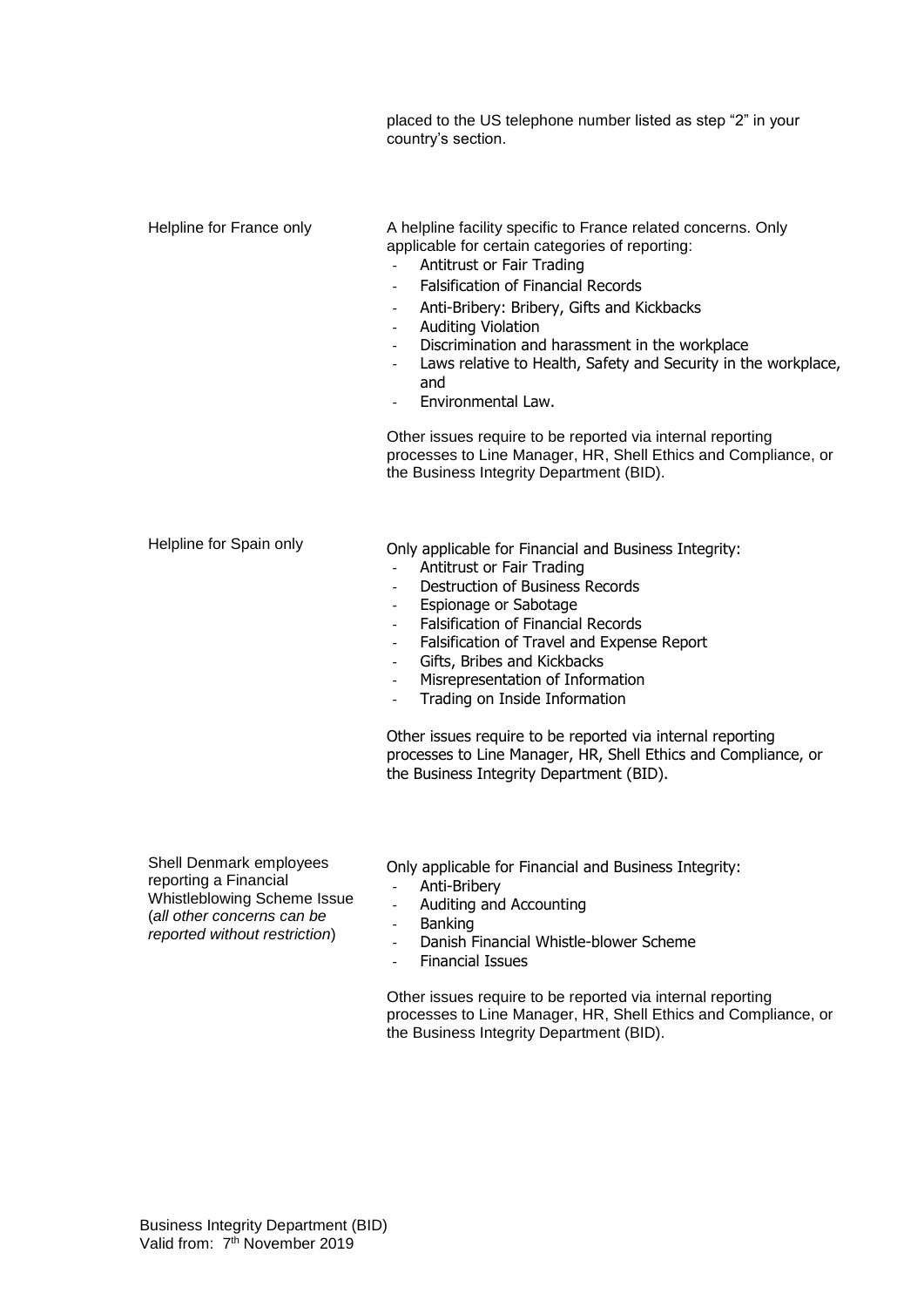placed to the US telephone number listed as step "2" in your country's section. Helpline for France only **A** helpline facility specific to France related concerns. Only applicable for certain categories of reporting: - Antitrust or Fair Trading - Falsification of Financial Records Anti-Bribery: Bribery, Gifts and Kickbacks Auditing Violation Discrimination and harassment in the workplace Laws relative to Health, Safety and Security in the workplace, and - Environmental Law. Other issues require to be reported via internal reporting processes to Line Manager, HR, Shell Ethics and Compliance, or the Business Integrity Department (BID). Helpline for Spain only **Only applicable for Financial and Business Integrity:** - Antitrust or Fair Trading Destruction of Business Records - Espionage or Sabotage - Falsification of Financial Records - Falsification of Travel and Expense Report Gifts, Bribes and Kickbacks - Misrepresentation of Information - Trading on Inside Information Other issues require to be reported via internal reporting processes to Line Manager, HR, Shell Ethics and Compliance, or the Business Integrity Department (BID).

Shell Denmark employees reporting a Financial Whistleblowing Scheme Issue (*all other concerns can be reported without restriction*)

Only applicable for Financial and Business Integrity:

- Anti-Bribery
- Auditing and Accounting
- **Banking**
- Danish Financial Whistle-blower Scheme
- Financial Issues

Other issues require to be reported via internal reporting processes to Line Manager, HR, Shell Ethics and Compliance, or the Business Integrity Department (BID).